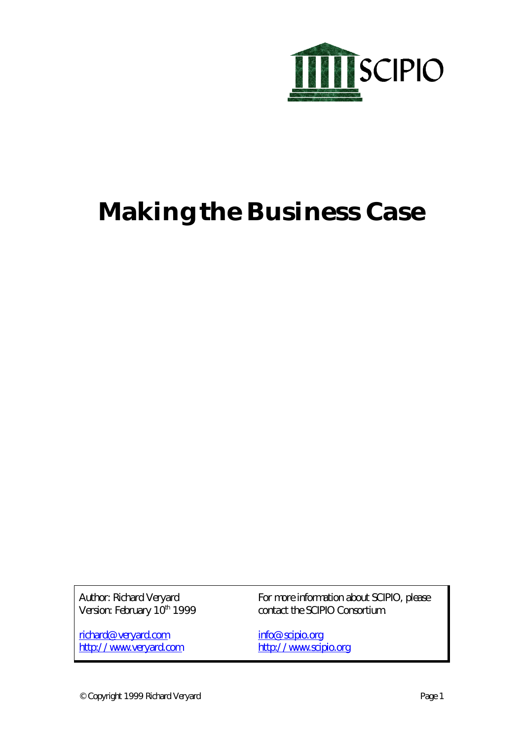

# **Making the Business Case**

Author: Richard Veryard Version: February 10<sup>th</sup> 1999

richard@veryard.com http://www.veryard.com For more information about SCIPIO, please contact the SCIPIO Consortium.

info@scipio.org http://www.scipio.org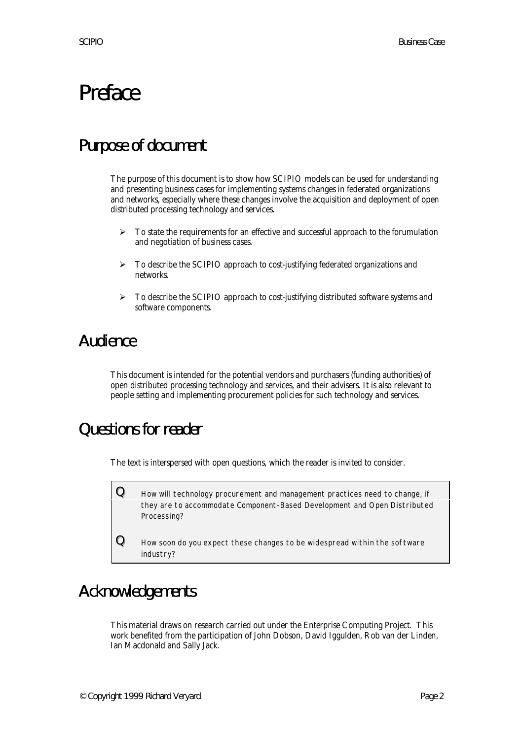# Preface

# Purpose of document

The purpose of this document is to show how SCIPIO models can be used for understanding and presenting business cases for implementing systems changes in federated organizations and networks, especially where these changes involve the acquisition and deployment of open distributed processing technology and services.

- $\triangleright$  To state the requirements for an effective and successful approach to the forumulation and negotiation of business cases.
- $\triangleright$  To describe the SCIPIO approach to cost-justifying federated organizations and networks.
- $\triangleright$  To describe the SCIPIO approach to cost-justifying distributed software systems and software components.

# Audience

This document is intended for the potential vendors and purchasers (funding authorities) of open distributed processing technology and services, and their advisers. It is also relevant to people setting and implementing procurement policies for such technology and services.

# Questions for reader

The text is interspersed with open questions, which the reader is invited to consider.

 ${\bf Q}\quad$  How will technology procurement and management practices need to change, if they are to accommodate Component-Based Development and Open Distributed Processing?

 $\bf{Q}$  How soon do you expect these changes to be widespread within the software industry?

# Acknowledgements

This material draws on research carried out under the Enterprise Computing Project. This work benefited from the participation of John Dobson, David Iggulden, Rob van der Linden, Ian Macdonald and Sally Jack.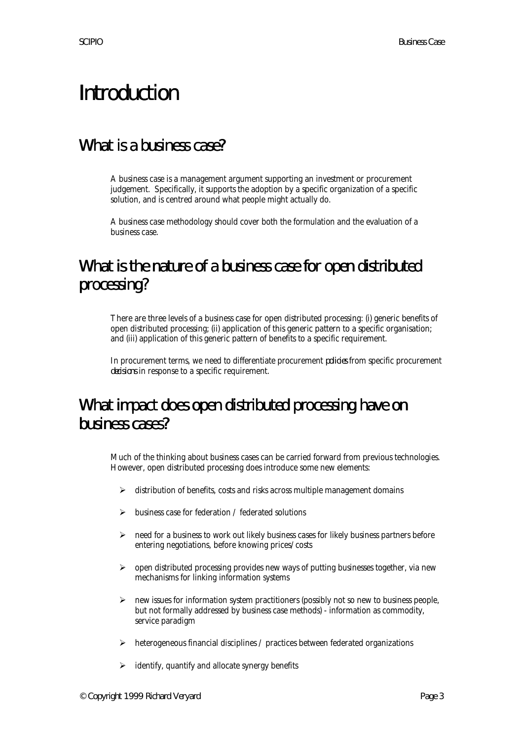# Introduction

## What is a business case?

A business case is a management argument supporting an investment or procurement judgement. Specifically, it supports the adoption by a specific organization of a specific solution, and is centred around what people might actually do.

A business case methodology should cover both the formulation and the evaluation of a business case.

# What is the nature of a business case for open distributed processing?

There are three levels of a business case for open distributed processing: (i) generic benefits of open distributed processing; (ii) application of this generic pattern to a specific organisation; and (iii) application of this generic pattern of benefits to a specific requirement.

In procurement terms, we need to differentiate procurement *policies* from specific procurement *decisions* in response to a specific requirement.

# What impact does open distributed processing have on business cases?

Much of the thinking about business cases can be carried forward from previous technologies. However, open distributed processing does introduce some new elements:

- $\triangleright$  distribution of benefits, costs and risks across multiple management domains
- business case for federation / federated solutions
- $\triangleright$  need for a business to work out likely business cases for likely business partners before entering negotiations, before knowing prices/costs
- $\triangleright$  open distributed processing provides new ways of putting businesses together, via new mechanisms for linking information systems
- $\triangleright$  new issues for information system practitioners (possibly not so new to business people, but not formally addressed by business case methods) - information as commodity, service paradigm
- $\triangleright$  heterogeneous financial disciplines / practices between federated organizations
- $\triangleright$  identify, quantify and allocate synergy benefits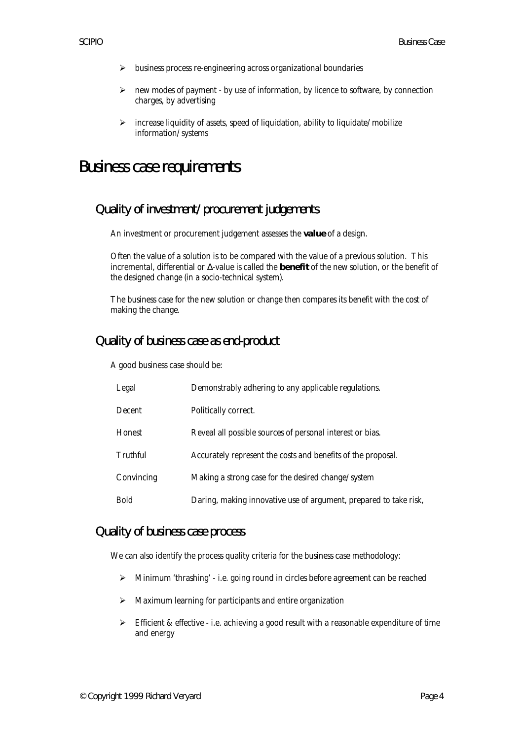- $\triangleright$  business process re-engineering across organizational boundaries
- $\triangleright$  new modes of payment by use of information, by licence to software, by connection charges, by advertising
- $\triangleright$  increase liquidity of assets, speed of liquidation, ability to liquidate/mobilize information/systems

## Business case requirements

### Quality of investment/procurement judgements

An investment or procurement judgement assesses the **value** of a design.

Often the value of a solution is to be compared with the value of a previous solution. This incremental, differential or Δ-value is called the **benefit** of the new solution, or the benefit of the designed change (in a socio-technical system).

The business case for the new solution or change then compares its benefit with the cost of making the change.

#### Quality of business case as end-product

A good business case should be:

| Legal      | Demonstrably adhering to any applicable regulations.              |
|------------|-------------------------------------------------------------------|
| Decent     | Politically correct.                                              |
| Honest     | Reveal all possible sources of personal interest or bias.         |
| Truthful   | Accurately represent the costs and benefits of the proposal.      |
| Convincing | Making a strong case for the desired change/system                |
| Bold       | Daring, making innovative use of argument, prepared to take risk, |

#### Quality of business case process

We can also identify the process quality criteria for the business case methodology:

- ÿ Minimum 'thrashing' i.e. going round in circles before agreement can be reached
- $\triangleright$  Maximum learning for participants and entire organization
- $\triangleright$  Efficient & effective i.e. achieving a good result with a reasonable expenditure of time and energy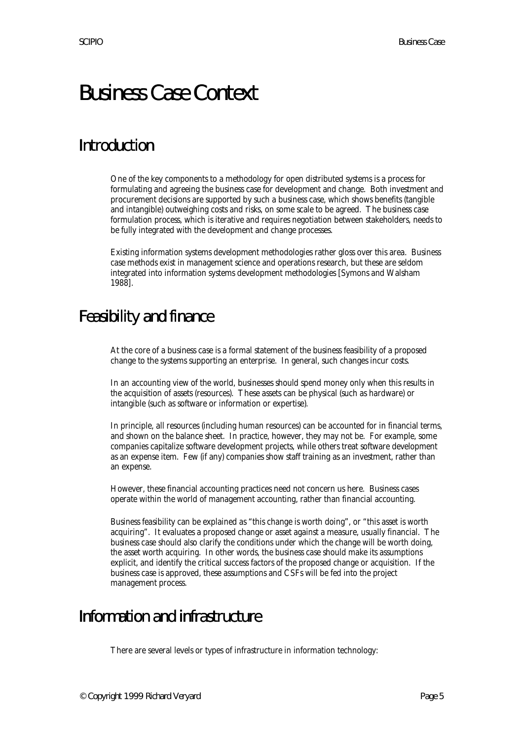# Business Case Context

# **Introduction**

One of the key components to a methodology for open distributed systems is a process for formulating and agreeing the business case for development and change. Both investment and procurement decisions are supported by such a business case, which shows benefits (tangible and intangible) outweighing costs and risks, on some scale to be agreed. The business case formulation process, which is iterative and requires negotiation between stakeholders, needs to be fully integrated with the development and change processes.

Existing information systems development methodologies rather gloss over this area. Business case methods exist in management science and operations research, but these are seldom integrated into information systems development methodologies [Symons and Walsham 1988].

## Feasibility and finance

At the core of a business case is a formal statement of the business feasibility of a proposed change to the systems supporting an enterprise. In general, such changes incur costs.

In an accounting view of the world, businesses should spend money only when this results in the acquisition of assets (resources). These assets can be physical (such as hardware) or intangible (such as software or information or expertise).

In principle, all resources (including human resources) can be accounted for in financial terms, and shown on the balance sheet. In practice, however, they may not be. For example, some companies capitalize software development projects, while others treat software development as an expense item. Few (if any) companies show staff training as an investment, rather than an expense.

However, these financial accounting practices need not concern us here. Business cases operate within the world of management accounting, rather than financial accounting.

Business feasibility can be explained as "this change is worth doing", or "this asset is worth acquiring". It evaluates a proposed change or asset against a measure, usually financial. The business case should also clarify the conditions under which the change will be worth doing, the asset worth acquiring. In other words, the business case should make its assumptions explicit, and identify the critical success factors of the proposed change or acquisition. If the business case is approved, these assumptions and CSFs will be fed into the project management process.

## Information and infrastructure

There are several levels or types of infrastructure in information technology: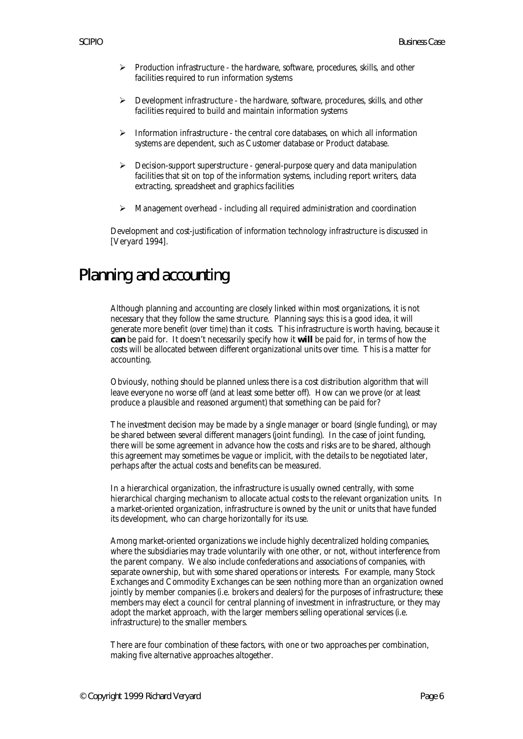- $\triangleright$  Production infrastructure the hardware, software, procedures, skills, and other facilities required to run information systems
- $\triangleright$  Development infrastructure the hardware, software, procedures, skills, and other facilities required to build and maintain information systems
- $\triangleright$  Information infrastructure the central core databases, on which all information systems are dependent, such as Customer database or Product database.
- $\triangleright$  Decision-support superstructure general-purpose query and data manipulation facilities that sit on top of the information systems, including report writers, data extracting, spreadsheet and graphics facilities
- $\triangleright$  Management overhead including all required administration and coordination

Development and cost-justification of information technology infrastructure is discussed in [Veryard 1994].

## Planning and accounting

Although planning and accounting are closely linked within most organizations, it is not necessary that they follow the same structure. Planning says: this is a good idea, it will generate more benefit (over time) than it costs. This infrastructure is worth having, because it **can** be paid for. It doesn't necessarily specify how it **will** be paid for, in terms of how the costs will be allocated between different organizational units over time. This is a matter for accounting.

Obviously, nothing should be planned unless there is a cost distribution algorithm that will leave everyone no worse off (and at least some better off). How can we prove (or at least produce a plausible and reasoned argument) that something can be paid for?

The investment decision may be made by a single manager or board (single funding), or may be shared between several different managers (joint funding). In the case of joint funding, there will be some agreement in advance how the costs and risks are to be shared, although this agreement may sometimes be vague or implicit, with the details to be negotiated later, perhaps after the actual costs and benefits can be measured.

In a hierarchical organization, the infrastructure is usually owned centrally, with some hierarchical charging mechanism to allocate actual costs to the relevant organization units. In a market-oriented organization, infrastructure is owned by the unit or units that have funded its development, who can charge horizontally for its use.

Among market-oriented organizations we include highly decentralized holding companies, where the subsidiaries may trade voluntarily with one other, or not, without interference from the parent company. We also include confederations and associations of companies, with separate ownership, but with some shared operations or interests. For example, many Stock Exchanges and Commodity Exchanges can be seen nothing more than an organization owned jointly by member companies (i.e. brokers and dealers) for the purposes of infrastructure; these members may elect a council for central planning of investment in infrastructure, or they may adopt the market approach, with the larger members selling operational services (i.e. infrastructure) to the smaller members.

There are four combination of these factors, with one or two approaches per combination, making five alternative approaches altogether.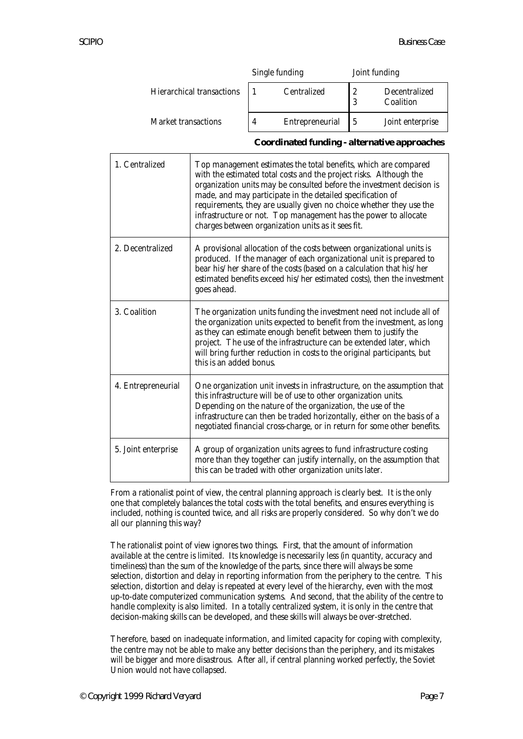|                           | Single funding |                 | Joint funding |                            |
|---------------------------|----------------|-----------------|---------------|----------------------------|
| Hierarchical transactions |                | Centralized     | 9             | Decentralized<br>Coalition |
| Market transactions       |                | Entrepreneurial |               | Joint enterprise           |

#### **Coordinated funding - alternative approaches**

| 1. Centralized      | Top management estimates the total benefits, which are compared<br>with the estimated total costs and the project risks. Although the<br>organization units may be consulted before the investment decision is<br>made, and may participate in the detailed specification of<br>requirements, they are usually given no choice whether they use the<br>infrastructure or not. Top management has the power to allocate<br>charges between organization units as it sees fit. |
|---------------------|------------------------------------------------------------------------------------------------------------------------------------------------------------------------------------------------------------------------------------------------------------------------------------------------------------------------------------------------------------------------------------------------------------------------------------------------------------------------------|
| 2. Decentralized    | A provisional allocation of the costs between organizational units is<br>produced. If the manager of each organizational unit is prepared to<br>bear his/her share of the costs (based on a calculation that his/her<br>estimated benefits exceed his/her estimated costs), then the investment<br>goes ahead.                                                                                                                                                               |
| 3. Coalition        | The organization units funding the investment need not include all of<br>the organization units expected to benefit from the investment, as long<br>as they can estimate enough benefit between them to justify the<br>project. The use of the infrastructure can be extended later, which<br>will bring further reduction in costs to the original participants, but<br>this is an added bonus.                                                                             |
| 4. Entrepreneurial  | One organization unit invests in infrastructure, on the assumption that<br>this infrastructure will be of use to other organization units.<br>Depending on the nature of the organization, the use of the<br>infrastructure can then be traded horizontally, either on the basis of a<br>negotiated financial cross-charge, or in return for some other benefits.                                                                                                            |
| 5. Joint enterprise | A group of organization units agrees to fund infrastructure costing<br>more than they together can justify internally, on the assumption that<br>this can be traded with other organization units later.                                                                                                                                                                                                                                                                     |

From a rationalist point of view, the central planning approach is clearly best. It is the only one that completely balances the total costs with the total benefits, and ensures everything is included, nothing is counted twice, and all risks are properly considered. So why don't we do all our planning this way?

The rationalist point of view ignores two things. First, that the amount of information available at the centre is limited. Its knowledge is necessarily less (in quantity, accuracy and timeliness) than the sum of the knowledge of the parts, since there will always be some selection, distortion and delay in reporting information from the periphery to the centre. This selection, distortion and delay is repeated at every level of the hierarchy, even with the most up-to-date computerized communication systems. And second, that the ability of the centre to handle complexity is also limited. In a totally centralized system, it is only in the centre that decision-making skills can be developed, and these skills will always be over-stretched.

Therefore, based on inadequate information, and limited capacity for coping with complexity, the centre may not be able to make any better decisions than the periphery, and its mistakes will be bigger and more disastrous. After all, if central planning worked perfectly, the Soviet Union would not have collapsed.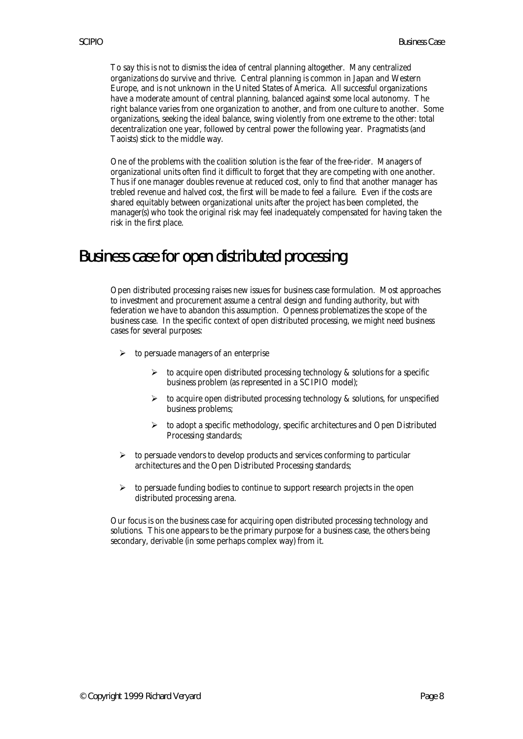To say this is not to dismiss the idea of central planning altogether. Many centralized organizations do survive and thrive. Central planning is common in Japan and Western Europe, and is not unknown in the United States of America. All successful organizations have a moderate amount of central planning, balanced against some local autonomy. The right balance varies from one organization to another, and from one culture to another. Some organizations, seeking the ideal balance, swing violently from one extreme to the other: total decentralization one year, followed by central power the following year. Pragmatists (and Taoists) stick to the middle way.

One of the problems with the coalition solution is the fear of the free-rider. Managers of organizational units often find it difficult to forget that they are competing with one another. Thus if one manager doubles revenue at reduced cost, only to find that another manager has trebled revenue and halved cost, the first will be made to feel a failure. Even if the costs are shared equitably between organizational units after the project has been completed, the manager(s) who took the original risk may feel inadequately compensated for having taken the risk in the first place.

## Business case for open distributed processing

Open distributed processing raises new issues for business case formulation. Most approaches to investment and procurement assume a central design and funding authority, but with federation we have to abandon this assumption. Openness problematizes the scope of the business case. In the specific context of open distributed processing, we might need business cases for several purposes:

- $\triangleright$  to persuade managers of an enterprise
	- $\triangleright$  to acquire open distributed processing technology & solutions for a specific business problem (as represented in a SCIPIO model);
	- $\triangleright$  to acquire open distributed processing technology & solutions, for unspecified business problems;
	- $\triangleright$  to adopt a specific methodology, specific architectures and Open Distributed Processing standards;
- $\geq$  to persuade vendors to develop products and services conforming to particular architectures and the Open Distributed Processing standards;
- $\triangleright$  to persuade funding bodies to continue to support research projects in the open distributed processing arena.

Our focus is on the business case for acquiring open distributed processing technology and solutions. This one appears to be the primary purpose for a business case, the others being secondary, derivable (in some perhaps complex way) from it.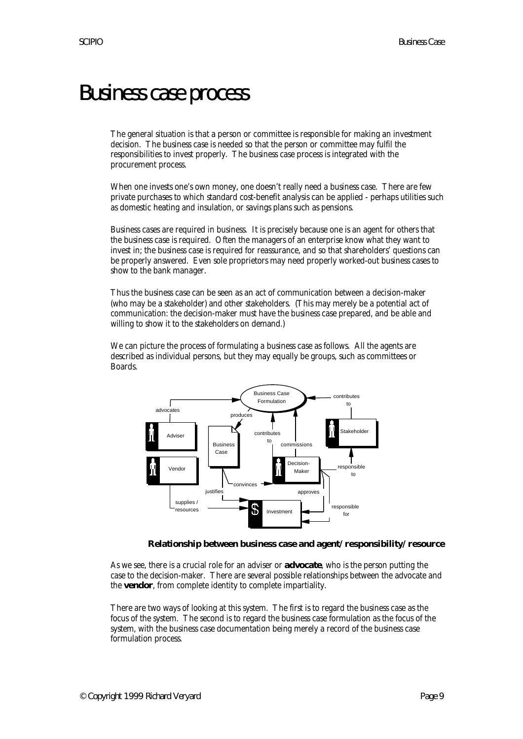# Business case process

The general situation is that a person or committee is responsible for making an investment decision. The business case is needed so that the person or committee may fulfil the responsibilities to invest properly. The business case process is integrated with the procurement process.

When one invests one's own money, one doesn't really need a business case. There are few private purchases to which standard cost-benefit analysis can be applied - perhaps utilities such as domestic heating and insulation, or savings plans such as pensions.

Business cases are required in business. It is precisely because one is an agent for others that the business case is required. Often the managers of an enterprise know what they want to invest in; the business case is required for reassurance, and so that shareholders' questions can be properly answered. Even sole proprietors may need properly worked-out business cases to show to the bank manager.

Thus the business case can be seen as an act of communication between a decision-maker (who may be a stakeholder) and other stakeholders. (This may merely be a potential act of communication: the decision-maker must have the business case prepared, and be able and willing to show it to the stakeholders on demand.)

We can picture the process of formulating a business case as follows. All the agents are described as individual persons, but they may equally be groups, such as committees or Boards.



**Relationship between business case and agent/responsibility/resource**

As we see, there is a crucial role for an adviser or **advocate**, who is the person putting the case to the decision-maker. There are several possible relationships between the advocate and the **vendor**, from complete identity to complete impartiality.

There are two ways of looking at this system. The first is to regard the business case as the focus of the system. The second is to regard the business case formulation as the focus of the system, with the business case documentation being merely a record of the business case formulation process.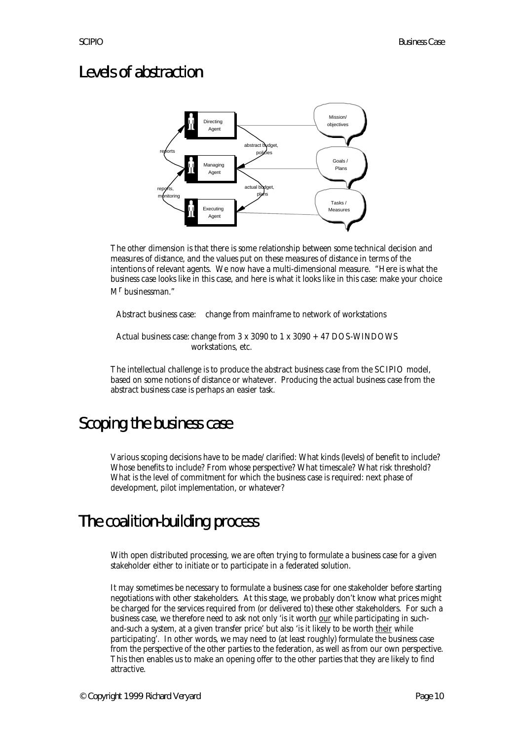## Levels of abstraction



The other dimension is that there is some relationship between some technical decision and measures of distance, and the values put on these measures of distance in terms of the intentions of relevant agents. We now have a multi-dimensional measure. "Here is what the business case looks like in this case, and here is what it looks like in this case: make your choice M<sup>r</sup> businessman."

Abstract business case: change from mainframe to network of workstations

Actual business case: change from 3 x 3090 to 1 x 3090 + 47 DOS-WINDOWS workstations, etc.

The intellectual challenge is to produce the abstract business case from the SCIPIO model, based on some notions of distance or whatever. Producing the actual business case from the abstract business case is perhaps an easier task.

# Scoping the business case

Various scoping decisions have to be made/clarified: What kinds (levels) of benefit to include? Whose benefits to include? From whose perspective? What timescale? What risk threshold? What is the level of commitment for which the business case is required: next phase of development, pilot implementation, or whatever?

# The coalition-building process

With open distributed processing, we are often trying to formulate a business case for a given stakeholder either to initiate or to participate in a federated solution.

It may sometimes be necessary to formulate a business case for one stakeholder before starting negotiations with other stakeholders. At this stage, we probably don't know what prices might be charged for the services required from (or delivered to) these other stakeholders. For such a business case, we therefore need to ask not only 'is it worth our while participating in suchand-such a system, at a given transfer price' but also 'is it likely to be worth their while participating'. In other words, we may need to (at least roughly) formulate the business case from the perspective of the other parties to the federation, as well as from our own perspective. This then enables us to make an opening offer to the other parties that they are likely to find attractive.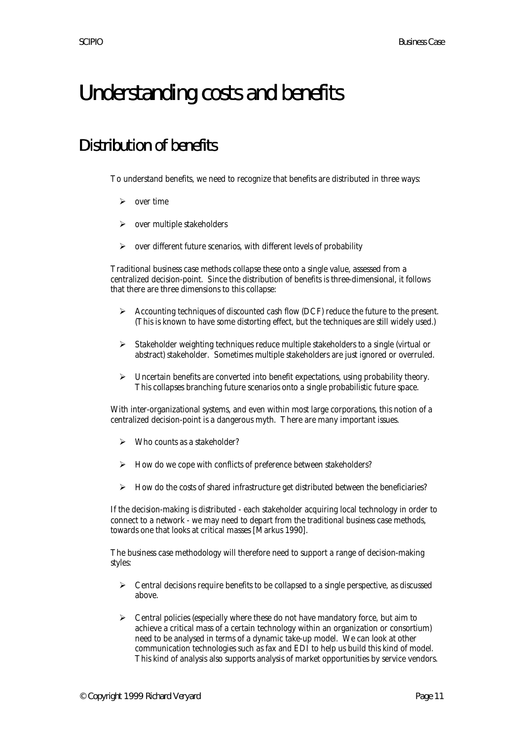# Understanding costs and benefits

# Distribution of benefits

To understand benefits, we need to recognize that benefits are distributed in three ways:

- $\triangleright$  over time
- $\triangleright$  over multiple stakeholders
- $\triangleright$  over different future scenarios, with different levels of probability

Traditional business case methods collapse these onto a single value, assessed from a centralized decision-point. Since the distribution of benefits is three-dimensional, it follows that there are three dimensions to this collapse:

- $\triangleright$  Accounting techniques of discounted cash flow (DCF) reduce the future to the present. (This is known to have some distorting effect, but the techniques are still widely used.)
- $\triangleright$  Stakeholder weighting techniques reduce multiple stakeholders to a single (virtual or abstract) stakeholder. Sometimes multiple stakeholders are just ignored or overruled.
- $\triangleright$  Uncertain benefits are converted into benefit expectations, using probability theory. This collapses branching future scenarios onto a single probabilistic future space.

With inter-organizational systems, and even within most large corporations, this notion of a centralized decision-point is a dangerous myth. There are many important issues.

- $\triangleright$  Who counts as a stakeholder?
- $\triangleright$  How do we cope with conflicts of preference between stakeholders?
- $\triangleright$  How do the costs of shared infrastructure get distributed between the beneficiaries?

If the decision-making is distributed - each stakeholder acquiring local technology in order to connect to a network - we may need to depart from the traditional business case methods, towards one that looks at critical masses [Markus 1990].

The business case methodology will therefore need to support a range of decision-making styles:

- $\triangleright$  Central decisions require benefits to be collapsed to a single perspective, as discussed above.
- $\triangleright$  Central policies (especially where these do not have mandatory force, but aim to achieve a critical mass of a certain technology within an organization or consortium) need to be analysed in terms of a dynamic take-up model. We can look at other communication technologies such as fax and EDI to help us build this kind of model. This kind of analysis also supports analysis of market opportunities by service vendors.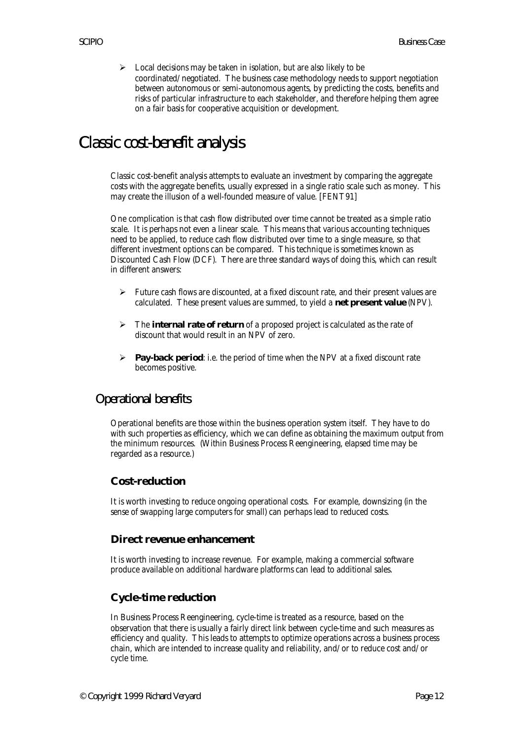$\triangleright$  Local decisions may be taken in isolation, but are also likely to be coordinated/negotiated. The business case methodology needs to support negotiation between autonomous or semi-autonomous agents, by predicting the costs, benefits and risks of particular infrastructure to each stakeholder, and therefore helping them agree on a fair basis for cooperative acquisition or development.

# Classic cost-benefit analysis

Classic cost-benefit analysis attempts to evaluate an investment by comparing the aggregate costs with the aggregate benefits, usually expressed in a single ratio scale such as money. This may create the illusion of a well-founded measure of value. [FENT91]

One complication is that cash flow distributed over time cannot be treated as a simple ratio scale. It is perhaps not even a linear scale. This means that various accounting techniques need to be applied, to reduce cash flow distributed over time to a single measure, so that different investment options can be compared. This technique is sometimes known as Discounted Cash Flow (DCF). There are three standard ways of doing this, which can result in different answers:

- $\triangleright$  Future cash flows are discounted, at a fixed discount rate, and their present values are calculated. These present values are summed, to yield a **net present value** (NPV).
- $\triangleright$  The **internal rate of return** of a proposed project is calculated as the rate of discount that would result in an NPV of zero.
- ÿ **Pay-back period**: i.e. the period of time when the NPV at a fixed discount rate becomes positive.

## Operational benefits

Operational benefits are those within the business operation system itself. They have to do with such properties as efficiency, which we can define as obtaining the maximum output from the minimum resources. (Within Business Process Reengineering, elapsed time may be regarded as a resource.)

#### **Cost-reduction**

It is worth investing to reduce ongoing operational costs. For example, downsizing (in the sense of swapping large computers for small) can perhaps lead to reduced costs.

#### **Direct revenue enhancement**

It is worth investing to increase revenue. For example, making a commercial software produce available on additional hardware platforms can lead to additional sales.

#### **Cycle-time reduction**

In Business Process Reengineering, cycle-time is treated as a resource, based on the observation that there is usually a fairly direct link between cycle-time and such measures as efficiency and quality. This leads to attempts to optimize operations across a business process chain, which are intended to increase quality and reliability, and/or to reduce cost and/or cycle time.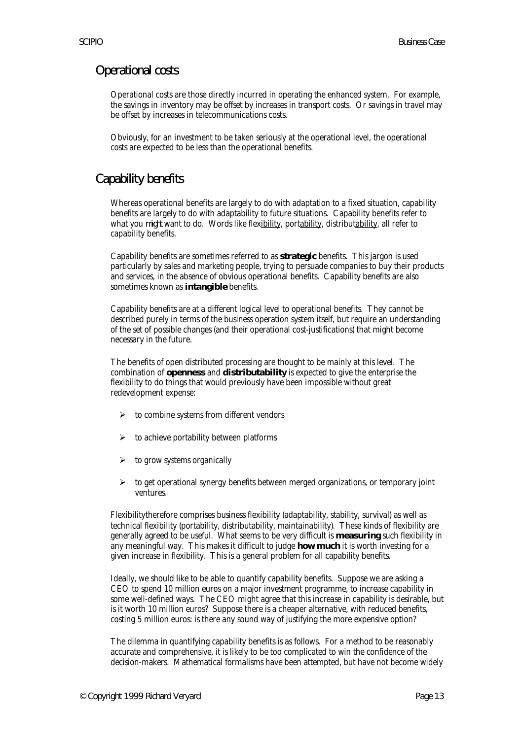## Operational costs

Operational costs are those directly incurred in operating the enhanced system. For example, the savings in inventory may be offset by increases in transport costs. Or savings in travel may be offset by increases in telecommunications costs.

Obviously, for an investment to be taken seriously at the operational level, the operational costs are expected to be less than the operational benefits.

## Capability benefits

Whereas operational benefits are largely to do with adaptation to a fixed situation, capability benefits are largely to do with adaptability to future situations. Capability benefits refer to what you *might* want to do. Words like flexibility, portability, distributability, all refer to capability benefits.

Capability benefits are sometimes referred to as **strategic** benefits. This jargon is used particularly by sales and marketing people, trying to persuade companies to buy their products and services, in the absence of obvious operational benefits. Capability benefits are also sometimes known as **intangible** benefits.

Capability benefits are at a different logical level to operational benefits. They cannot be described purely in terms of the business operation system itself, but require an understanding of the set of possible changes (and their operational cost-justifications) that might become necessary in the future.

The benefits of open distributed processing are thought to be mainly at this level. The combination of **openness** and **distributability** is expected to give the enterprise the flexibility to do things that would previously have been impossible without great redevelopment expense:

- $\triangleright$  to combine systems from different vendors
- ÿ to achieve portability between platforms
- $\triangleright$  to grow systems organically
- $\triangleright$  to get operational synergy benefits between merged organizations, or temporary joint ventures.

Flexibilitytherefore comprises business flexibility (adaptability, stability, survival) as well as technical flexibility (portability, distributability, maintainability). These kinds of flexibility are generally agreed to be useful. What seems to be very difficult is **measuring** such flexibility in any meaningful way. This makes it difficult to judge **how much** it is worth investing for a given increase in flexibility. This is a general problem for all capability benefits.

Ideally, we should like to be able to quantify capability benefits. Suppose we are asking a CEO to spend 10 million euros on a major investment programme, to increase capability in some well-defined ways. The CEO might agree that this increase in capability is desirable, but is it worth 10 million euros? Suppose there is a cheaper alternative, with reduced benefits, costing 5 million euros: is there any sound way of justifying the more expensive option?

The dilemma in quantifying capability benefits is as follows. For a method to be reasonably accurate and comprehensive, it is likely to be too complicated to win the confidence of the decision-makers. Mathematical formalisms have been attempted, but have not become widely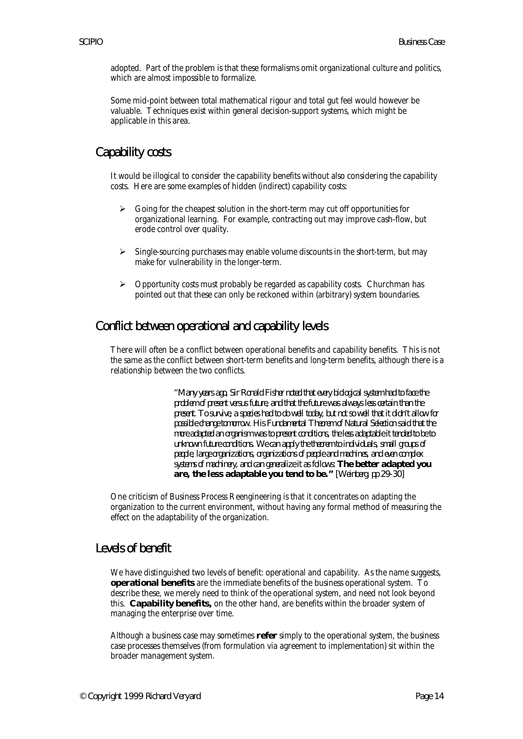adopted. Part of the problem is that these formalisms omit organizational culture and politics, which are almost impossible to formalize.

Some mid-point between total mathematical rigour and total gut feel would however be valuable. Techniques exist within general decision-support systems, which might be applicable in this area.

## Capability costs

It would be illogical to consider the capability benefits without also considering the capability costs. Here are some examples of hidden (indirect) capability costs:

- $\triangleright$  Going for the cheapest solution in the short-term may cut off opportunities for organizational learning. For example, contracting out may improve cash-flow, but erode control over quality.
- $\triangleright$  Single-sourcing purchases may enable volume discounts in the short-term, but may make for vulnerability in the longer-term.
- $\triangleright$  Opportunity costs must probably be regarded as capability costs. Churchman has pointed out that these can only be reckoned within (arbitrary) system boundaries.

### Conflict between operational and capability levels

There will often be a conflict between operational benefits and capability benefits. This is not the same as the conflict between short-term benefits and long-term benefits, although there is a relationship between the two conflicts.

> *"Many years ago, Sir Ronald Fisher noted that every biological system had to face the problem of present versus future, and that the future was always less certain than the present. To survive, a species had to do well today, but not so well that it didn't allow for possible change tomorrow. His Fundamental Theorem of Natural Selection said that the more adapted an organism was to present conditions, the less adaptable it tended to be to unknown future conditions. We can apply the theorem to individuals, small groups of people, large organizations, organizations of people and machines, and even complex systems of machinery, and can generalize it as follows: The better adapted you are, the less adaptable you tend to be." [Weinberg, pp 29-30]*

One criticism of Business Process Reengineering is that it concentrates on adapting the organization to the current environment, without having any formal method of measuring the effect on the adaptability of the organization.

#### Levels of benefit

We have distinguished two levels of benefit: operational and capability. As the name suggests, **operational benefits** are the immediate benefits of the business operational system. To describe these, we merely need to think of the operational system, and need not look beyond this. **Capability benefits,** on the other hand, are benefits within the broader system of managing the enterprise over time.

Although a business case may sometimes **refer** simply to the operational system, the business case processes themselves (from formulation via agreement to implementation) sit within the broader management system.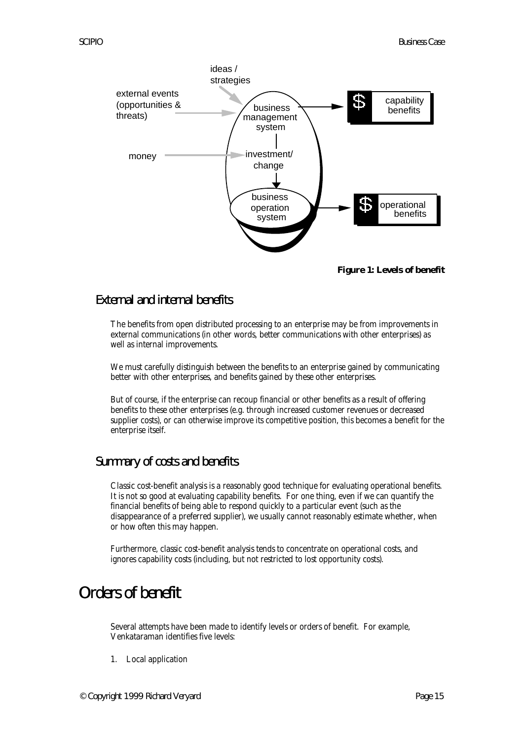

**Figure 1: Levels of benefit**

### External and internal benefits

The benefits from open distributed processing to an enterprise may be from improvements in external communications (in other words, better communications with other enterprises) as well as internal improvements.

We must carefully distinguish between the benefits to an enterprise gained by communicating better with other enterprises, and benefits gained by these other enterprises.

But of course, if the enterprise can recoup financial or other benefits as a result of offering benefits to these other enterprises (e.g. through increased customer revenues or decreased supplier costs), or can otherwise improve its competitive position, this becomes a benefit for the enterprise itself.

#### Summary of costs and benefits

Classic cost-benefit analysis is a reasonably good technique for evaluating operational benefits. It is not so good at evaluating capability benefits. For one thing, even if we can quantify the financial benefits of being able to respond quickly to a particular event (such as the disappearance of a preferred supplier), we usually cannot reasonably estimate whether, when or how often this may happen.

Furthermore, classic cost-benefit analysis tends to concentrate on operational costs, and ignores capability costs (including, but not restricted to lost opportunity costs).

## Orders of benefit

Several attempts have been made to identify levels or orders of benefit. For example, Venkataraman identifies five levels:

1. Local application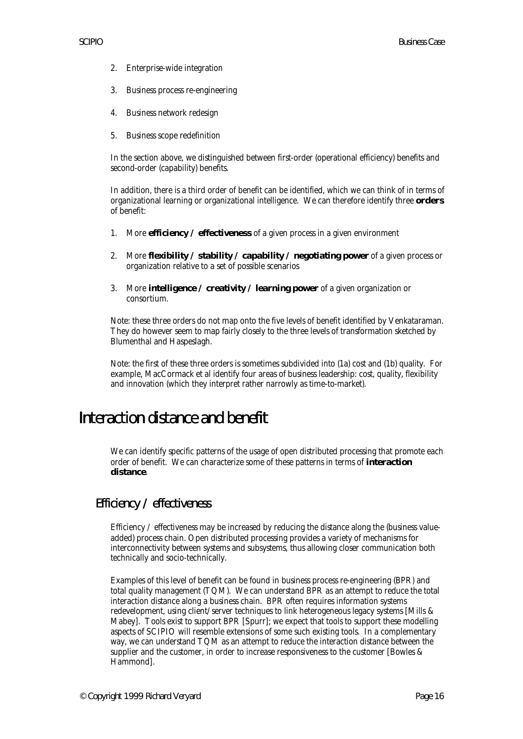- 2. Enterprise-wide integration
- 3. Business process re-engineering
- 4. Business network redesign
- 5. Business scope redefinition

In the section above, we distinguished between first-order (operational efficiency) benefits and second-order (capability) benefits.

In addition, there is a third order of benefit can be identified, which we can think of in terms of organizational learning or organizational intelligence. We can therefore identify three **orders** of benefit:

- 1. More **efficiency / effectiveness** of a given process in a given environment
- 2. More **flexibility / stability / capability / negotiating power** of a given process or organization relative to a set of possible scenarios
- 3. More **intelligence / creativity / learning power** of a given organization or consortium.

Note: these three orders do not map onto the five levels of benefit identified by Venkataraman. They do however seem to map fairly closely to the three levels of transformation sketched by Blumenthal and Haspeslagh.

Note: the first of these three orders is sometimes subdivided into (1a) cost and (1b) quality. For example, MacCormack et al identify four areas of business leadership: cost, quality, flexibility and innovation (which they interpret rather narrowly as time-to-market).

## Interaction distance and benefit

We can identify specific patterns of the usage of open distributed processing that promote each order of benefit. We can characterize some of these patterns in terms of **interaction distance**.

#### Efficiency / effectiveness

Efficiency  $\ell$  effectiveness may be increased by reducing the distance along the (business valueadded) process chain. Open distributed processing provides a variety of mechanisms for interconnectivity between systems and subsystems, thus allowing closer communication both technically and socio-technically.

Examples of this level of benefit can be found in business process re-engineering (BPR) and total quality management (TQM). We can understand BPR as an attempt to reduce the total interaction distance along a business chain. BPR often requires information systems redevelopment, using client/server techniques to link heterogeneous legacy systems [Mills & Mabey]. Tools exist to support BPR [Spurr]; we expect that tools to support these modelling aspects of SCIPIO will resemble extensions of some such existing tools. In a complementary way, we can understand TQM as an attempt to reduce the interaction distance between the supplier and the customer, in order to increase responsiveness to the customer [Bowles & Hammond].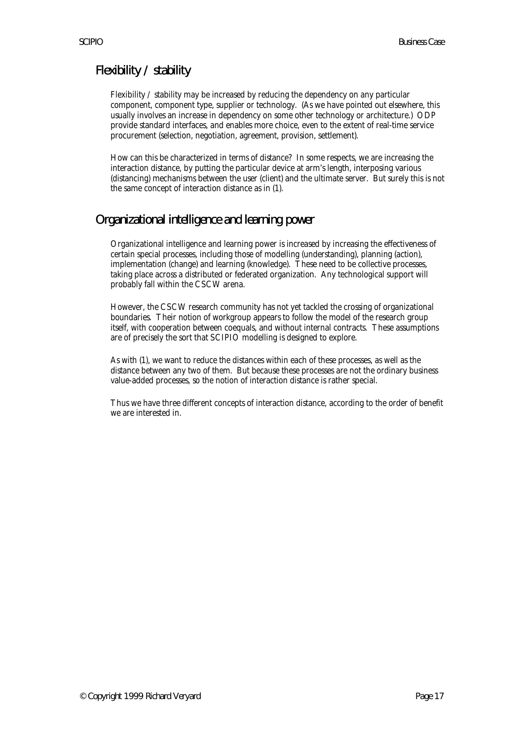## Flexibility / stability

Flexibility / stability may be increased by reducing the dependency on any particular component, component type, supplier or technology. (As we have pointed out elsewhere, this usually involves an increase in dependency on some other technology or architecture.) ODP provide standard interfaces, and enables more choice, even to the extent of real-time service procurement (selection, negotiation, agreement, provision, settlement).

How can this be characterized in terms of distance? In some respects, we are increasing the interaction distance, by putting the particular device at arm's length, interposing various (distancing) mechanisms between the user (client) and the ultimate server. But surely this is not the same concept of interaction distance as in (1).

## Organizational intelligence and learning power

Organizational intelligence and learning power is increased by increasing the effectiveness of certain special processes, including those of modelling (understanding), planning (action), implementation (change) and learning (knowledge). These need to be collective processes, taking place across a distributed or federated organization. Any technological support will probably fall within the CSCW arena.

However, the CSCW research community has not yet tackled the crossing of organizational boundaries. Their notion of workgroup appears to follow the model of the research group itself, with cooperation between coequals, and without internal contracts. These assumptions are of precisely the sort that SCIPIO modelling is designed to explore.

As with (1), we want to reduce the distances within each of these processes, as well as the distance between any two of them. But because these processes are not the ordinary business value-added processes, so the notion of interaction distance is rather special.

Thus we have three different concepts of interaction distance, according to the order of benefit we are interested in.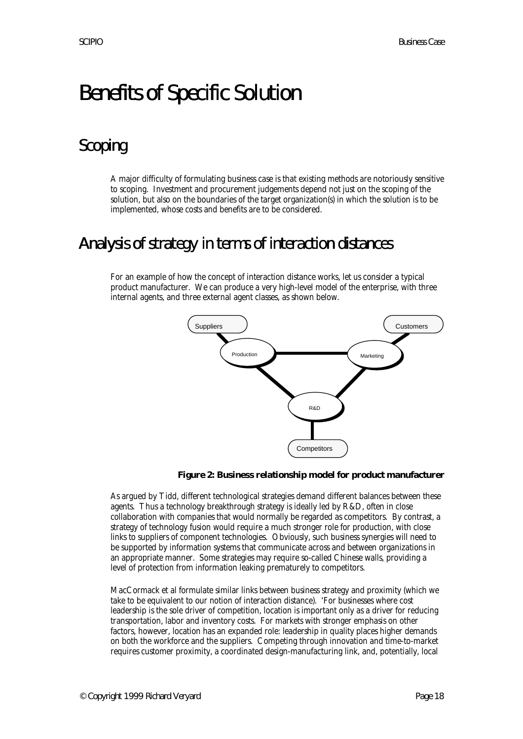# Benefits of Specific Solution

# Scoping

A major difficulty of formulating business case is that existing methods are notoriously sensitive to scoping. Investment and procurement judgements depend not just on the scoping of the solution, but also on the boundaries of the target organization(s) in which the solution is to be implemented, whose costs and benefits are to be considered.

## Analysis of strategy in terms of interaction distances

For an example of how the concept of interaction distance works, let us consider a typical product manufacturer. We can produce a very high-level model of the enterprise, with three internal agents, and three external agent classes, as shown below.



**Figure 2: Business relationship model for product manufacturer**

As argued by Tidd, different technological strategies demand different balances between these agents. Thus a technology breakthrough strategy is ideally led by R&D, often in close collaboration with companies that would normally be regarded as competitors. By contrast, a strategy of technology fusion would require a much stronger role for production, with close links to suppliers of component technologies. Obviously, such business synergies will need to be supported by information systems that communicate across and between organizations in an appropriate manner. Some strategies may require so-called Chinese walls, providing a level of protection from information leaking prematurely to competitors.

MacCormack et al formulate similar links between business strategy and proximity (which we take to be equivalent to our notion of interaction distance). 'For businesses where cost leadership is the sole driver of competition, location is important only as a driver for reducing transportation, labor and inventory costs. For markets with stronger emphasis on other factors, however, location has an expanded role: leadership in quality places higher demands on both the workforce and the suppliers. Competing through innovation and time-to-market requires customer proximity, a coordinated design-manufacturing link, and, potentially, local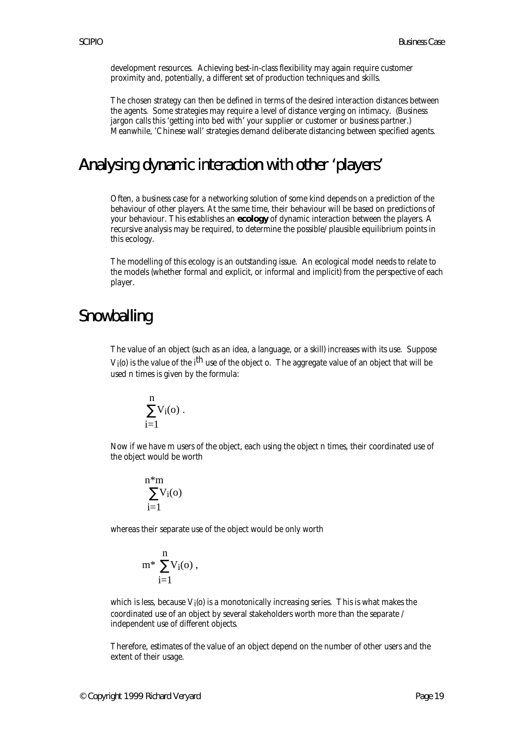development resources. Achieving best-in-class flexibility may again require customer proximity and, potentially, a different set of production techniques and skills.

The chosen strategy can then be defined in terms of the desired interaction distances between the agents. Some strategies may require a level of distance verging on intimacy. (Business jargon calls this 'getting into bed with' your supplier or customer or business partner.) Meanwhile, 'Chinese wall' strategies demand deliberate distancing between specified agents.

## Analysing dynamic interaction with other 'players'

Often, a business case for a networking solution of some kind depends on a prediction of the behaviour of other players. At the same time, their behaviour will be based on predictions of your behaviour. This establishes an **ecology** of dynamic interaction between the players. A recursive analysis may be required, to determine the possible/plausible equilibrium points in this ecology.

The modelling of this ecology is an outstanding issue. An ecological model needs to relate to the models (whether formal and explicit, or informal and implicit) from the perspective of each player.

## **Snowballing**

The value of an object (such as an idea, a language, or a skill) increases with its use. Suppose V<sub>1</sub>(o) is the value of the i<sup>th</sup> use of the object o. The aggregate value of an object that will be used n times is given by the formula:

$$
\sum_{i=1}^n\!V_i(o)\;.
$$

Now if we have m users of the object, each using the object n times, their coordinated use of the object would be worth

$$
\sum_{i=1}^{n^*m} V_i(o)
$$

whereas their separate use of the object would be only worth

$$
m^*\,\sum_{i=1}^n\!V_i(o)\,,
$$

which is less, because  $\rm V_{i}(\rm o)$  is a monotonically increasing series. This is what makes the coordinated use of an object by several stakeholders worth more than the separate / independent use of different objects.

Therefore, estimates of the value of an object depend on the number of other users and the extent of their usage.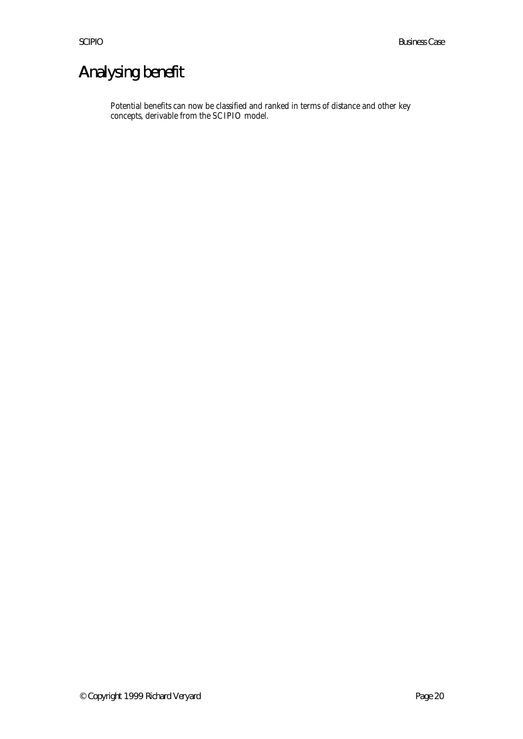# Analysing benefit

Potential benefits can now be classified and ranked in terms of distance and other key concepts, derivable from the SCIPIO model.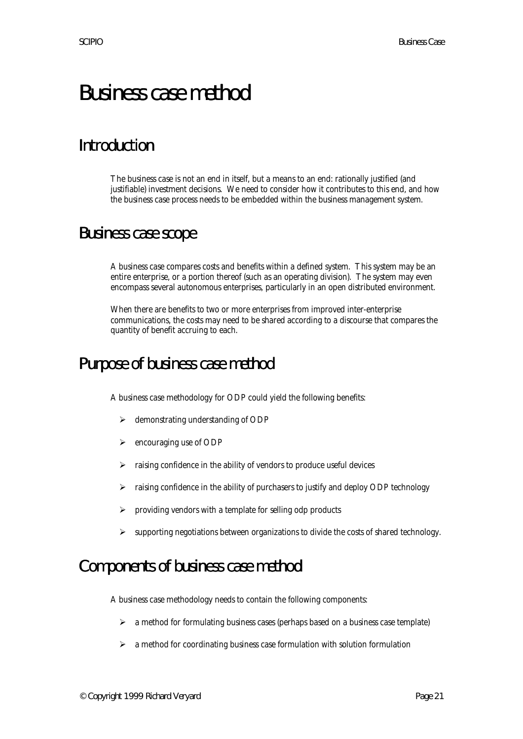# Business case method

# Introduction

The business case is not an end in itself, but a means to an end: rationally justified (and justifiable) investment decisions. We need to consider how it contributes to this end, and how the business case process needs to be embedded within the business management system.

## Business case scope

A business case compares costs and benefits within a defined system. This system may be an entire enterprise, or a portion thereof (such as an operating division). The system may even encompass several autonomous enterprises, particularly in an open distributed environment.

When there are benefits to two or more enterprises from improved inter-enterprise communications, the costs may need to be shared according to a discourse that compares the quantity of benefit accruing to each.

## Purpose of business case method

A business case methodology for ODP could yield the following benefits:

- $\triangleright$  demonstrating understanding of ODP
- $\triangleright$  encouraging use of ODP
- $\triangleright$  raising confidence in the ability of vendors to produce useful devices
- $\triangleright$  raising confidence in the ability of purchasers to justify and deploy ODP technology
- $\triangleright$  providing vendors with a template for selling odp products
- $\triangleright$  supporting negotiations between organizations to divide the costs of shared technology.

# Components of business case method

A business case methodology needs to contain the following components:

- $\geq$  a method for formulating business cases (perhaps based on a business case template)
- $\geq$  a method for coordinating business case formulation with solution formulation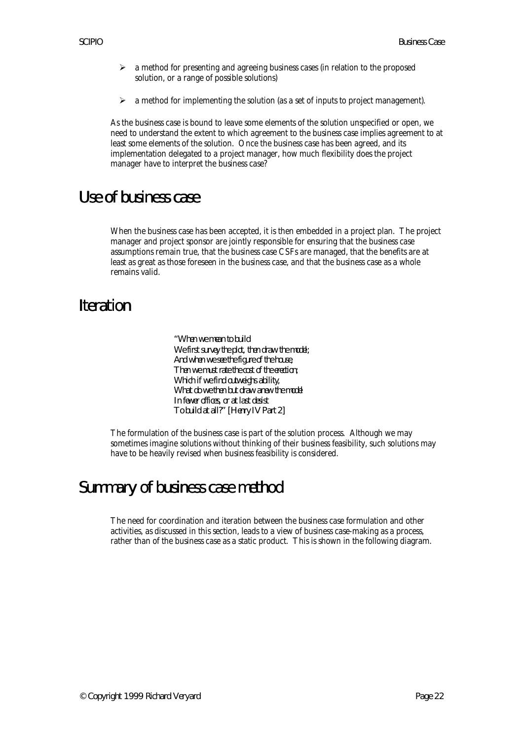- $\geq$  a method for presenting and agreeing business cases (in relation to the proposed solution, or a range of possible solutions)
- $\triangleright$  a method for implementing the solution (as a set of inputs to project management).

As the business case is bound to leave some elements of the solution unspecified or open, we need to understand the extent to which agreement to the business case implies agreement to at least some elements of the solution. Once the business case has been agreed, and its implementation delegated to a project manager, how much flexibility does the project manager have to interpret the business case?

## Use of business case

When the business case has been accepted, it is then embedded in a project plan. The project manager and project sponsor are jointly responsible for ensuring that the business case assumptions remain true, that the business case CSFs are managed, that the benefits are at least as great as those foreseen in the business case, and that the business case as a whole remains valid.

# Iteration

*"When we mean to build We first survey the plot, then draw the model; And when we see the figure of the house, Then we must rate the cost of the erection; Which if we find outweighs ability, What do we then but draw anew the model In fewer offices, or at last desist To build at all?" [Henry IV Part 2]*

The formulation of the business case is part of the solution process. Although we may sometimes imagine solutions without thinking of their business feasibility, such solutions may have to be heavily revised when business feasibility is considered.

# Summary of business case method

The need for coordination and iteration between the business case formulation and other activities, as discussed in this section, leads to a view of business case-making as a process, rather than of the business case as a static product. This is shown in the following diagram.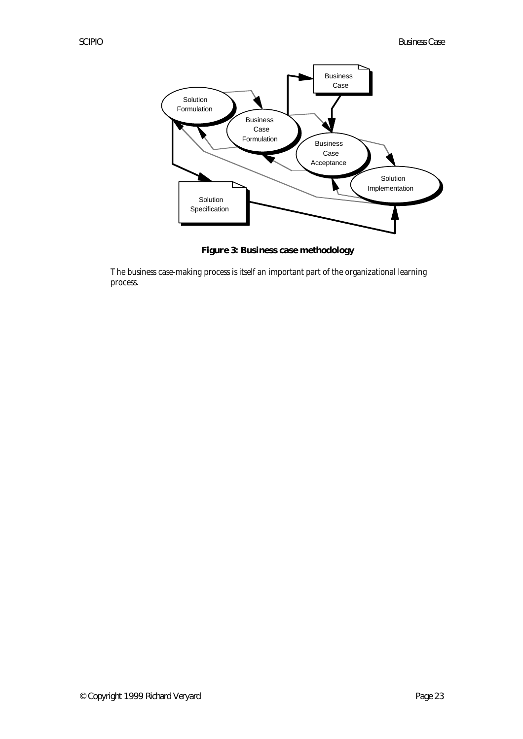

**Figure 3: Business case methodology**

The business case-making process is itself an important part of the organizational learning process.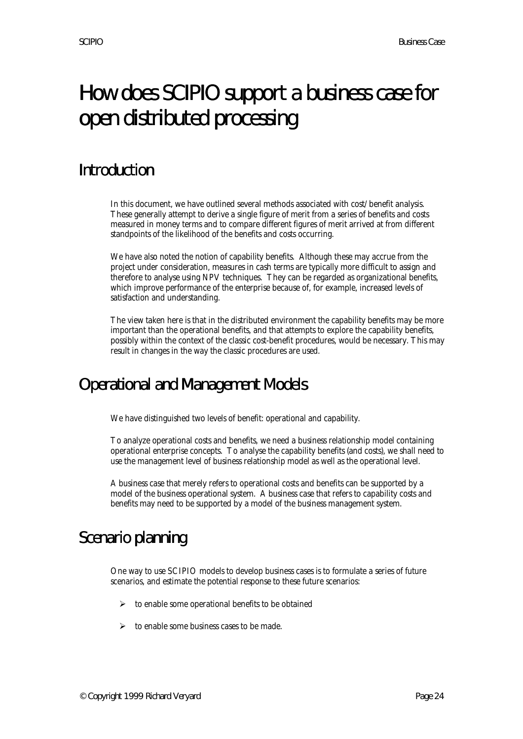# How does SCIPIO support a business case for open distributed processing

# Introduction

In this document, we have outlined several methods associated with cost/benefit analysis. These generally attempt to derive a single figure of merit from a series of benefits and costs measured in money terms and to compare different figures of merit arrived at from different standpoints of the likelihood of the benefits and costs occurring.

We have also noted the notion of capability benefits. Although these may accrue from the project under consideration, measures in cash terms are typically more difficult to assign and therefore to analyse using NPV techniques. They can be regarded as organizational benefits, which improve performance of the enterprise because of, for example, increased levels of satisfaction and understanding.

The view taken here is that in the distributed environment the capability benefits may be more important than the operational benefits, and that attempts to explore the capability benefits, possibly within the context of the classic cost-benefit procedures, would be necessary. This may result in changes in the way the classic procedures are used.

# Operational and Management Models

We have distinguished two levels of benefit: operational and capability.

To analyze operational costs and benefits, we need a business relationship model containing operational enterprise concepts. To analyse the capability benefits (and costs), we shall need to use the management level of business relationship model as well as the operational level.

A business case that merely refers to operational costs and benefits can be supported by a model of the business operational system. A business case that refers to capability costs and benefits may need to be supported by a model of the business management system.

# Scenario planning

One way to use SCIPIO models to develop business cases is to formulate a series of future scenarios, and estimate the potential response to these future scenarios:

- $\geq$  to enable some operational benefits to be obtained
- $\triangleright$  to enable some business cases to be made.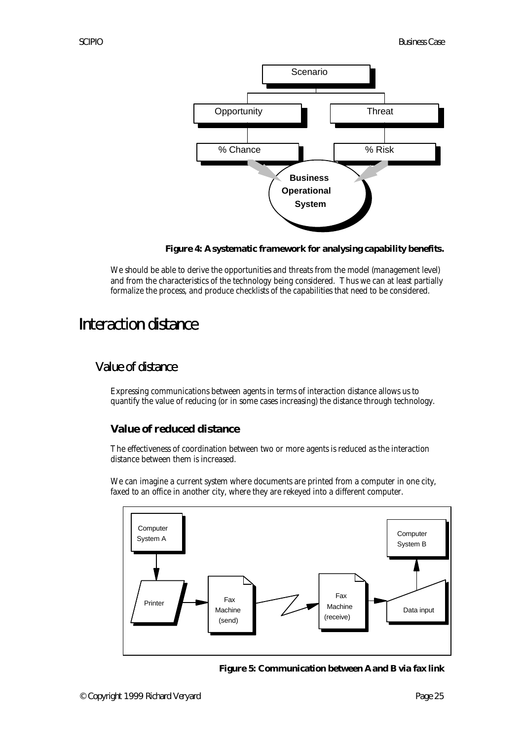

**Figure 4: A systematic framework for analysing capability benefits.**

We should be able to derive the opportunities and threats from the model (management level) and from the characteristics of the technology being considered. Thus we can at least partially formalize the process, and produce checklists of the capabilities that need to be considered.

# Interaction distance

## Value of distance

Expressing communications between agents in terms of interaction distance allows us to quantify the value of reducing (or in some cases increasing) the distance through technology.

## **Value of reduced distance**

The effectiveness of coordination between two or more agents is reduced as the interaction distance between them is increased.

We can imagine a current system where documents are printed from a computer in one city, faxed to an office in another city, where they are rekeyed into a different computer.



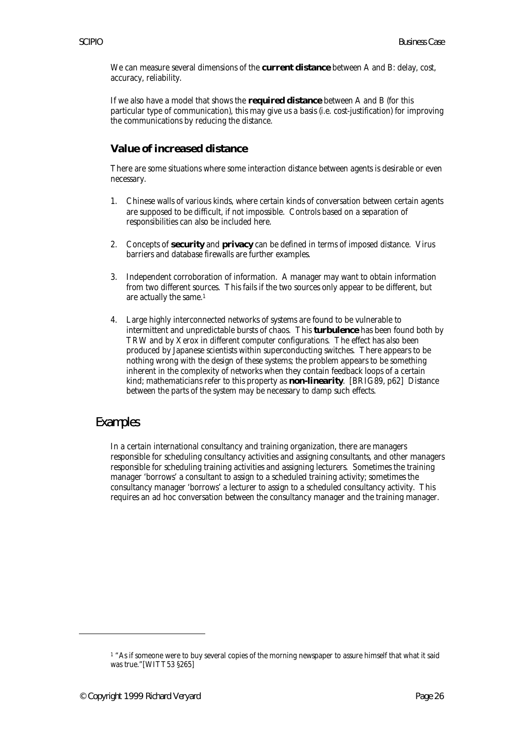We can measure several dimensions of the **current distance** between A and B: delay, cost, accuracy, reliability.

If we also have a model that shows the **required distance** between A and B (for this particular type of communication), this may give us a basis (i.e. cost-justification) for improving the communications by reducing the distance.

### **Value of increased distance**

There are some situations where some interaction distance between agents is desirable or even necessary.

- 1. Chinese walls of various kinds, where certain kinds of conversation between certain agents are supposed to be difficult, if not impossible. Controls based on a separation of responsibilities can also be included here.
- 2. Concepts of **security** and **privacy** can be defined in terms of imposed distance. Virus barriers and database firewalls are further examples.
- 3. Independent corroboration of information. A manager may want to obtain information from two different sources. This fails if the two sources only appear to be different, but are actually the same.<sup>1</sup>
- 4. Large highly interconnected networks of systems are found to be vulnerable to intermittent and unpredictable bursts of chaos. This **turbulence** has been found both by TRW and by Xerox in different computer configurations. The effect has also been produced by Japanese scientists within superconducting switches. There appears to be nothing wrong with the design of these systems; the problem appears to be something inherent in the complexity of networks when they contain feedback loops of a certain kind; mathematicians refer to this property as **non-linearity**. [BRIG89, p62] Distance between the parts of the system may be necessary to damp such effects.

#### Examples

In a certain international consultancy and training organization, there are managers responsible for scheduling consultancy activities and assigning consultants, and other managers responsible for scheduling training activities and assigning lecturers. Sometimes the training manager 'borrows' a consultant to assign to a scheduled training activity; sometimes the consultancy manager 'borrows' a lecturer to assign to a scheduled consultancy activity. This requires an ad hoc conversation between the consultancy manager and the training manager.

 $\overline{a}$ 

<sup>1</sup> "As if someone were to buy several copies of the morning newspaper to assure himself that what it said was true."[WITT53 §265]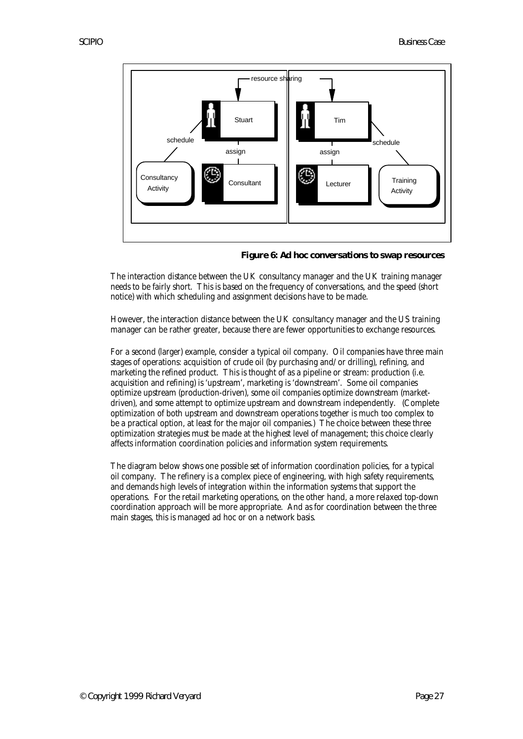

**Figure 6: Ad hoc conversations to swap resources**

The interaction distance between the UK consultancy manager and the UK training manager needs to be fairly short. This is based on the frequency of conversations, and the speed (short notice) with which scheduling and assignment decisions have to be made.

However, the interaction distance between the UK consultancy manager and the US training manager can be rather greater, because there are fewer opportunities to exchange resources.

For a second (larger) example, consider a typical oil company. Oil companies have three main stages of operations: acquisition of crude oil (by purchasing and/or drilling), refining, and marketing the refined product. This is thought of as a pipeline or stream: production (i.e. acquisition and refining) is 'upstream', marketing is 'downstream'. Some oil companies optimize upstream (production-driven), some oil companies optimize downstream (marketdriven), and some attempt to optimize upstream and downstream independently. (Complete optimization of both upstream and downstream operations together is much too complex to be a practical option, at least for the major oil companies.) The choice between these three optimization strategies must be made at the highest level of management; this choice clearly affects information coordination policies and information system requirements.

The diagram below shows one possible set of information coordination policies, for a typical oil company. The refinery is a complex piece of engineering, with high safety requirements, and demands high levels of integration within the information systems that support the operations. For the retail marketing operations, on the other hand, a more relaxed top-down coordination approach will be more appropriate. And as for coordination between the three main stages, this is managed ad hoc or on a network basis.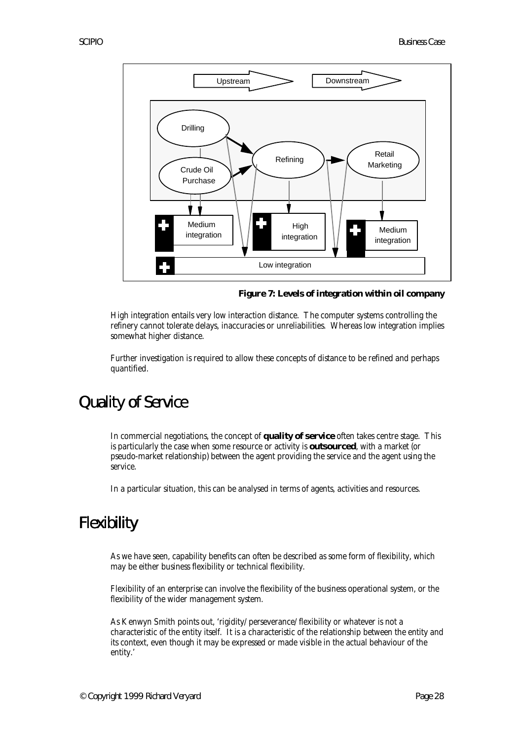

**Figure 7: Levels of integration within oil company**

High integration entails very low interaction distance. The computer systems controlling the refinery cannot tolerate delays, inaccuracies or unreliabilities. Whereas low integration implies somewhat higher distance.

Further investigation is required to allow these concepts of distance to be refined and perhaps quantified.

# Quality of Service

In commercial negotiations, the concept of **quality of service** often takes centre stage. This is particularly the case when some resource or activity is **outsourced**, with a market (or pseudo-market relationship) between the agent providing the service and the agent using the service.

In a particular situation, this can be analysed in terms of agents, activities and resources.

# Flexibility

As we have seen, capability benefits can often be described as some form of flexibility, which may be either business flexibility or technical flexibility.

Flexibility of an enterprise can involve the flexibility of the business operational system, or the flexibility of the wider management system.

As Kenwyn Smith points out, 'rigidity/perseverance/flexibility or whatever is not a characteristic of the entity itself. It is a characteristic of the relationship between the entity and its context, even though it may be expressed or made visible in the actual behaviour of the entity.'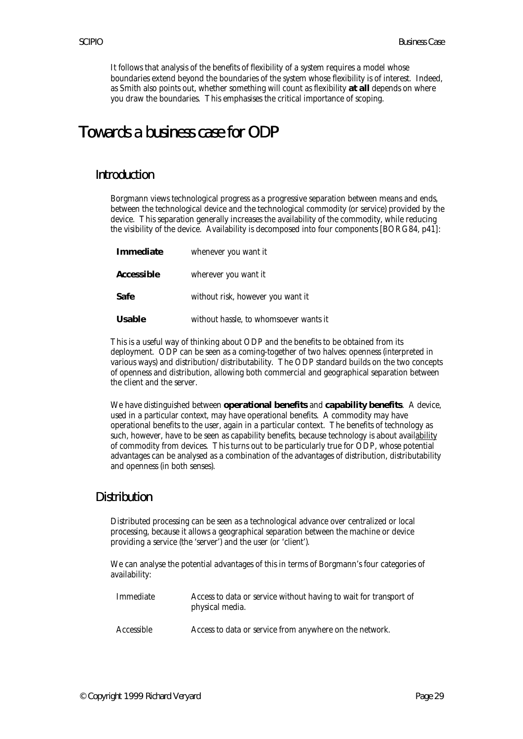It follows that analysis of the benefits of flexibility of a system requires a model whose boundaries extend beyond the boundaries of the system whose flexibility is of interest. Indeed, as Smith also points out, whether something will count as flexibility **at all** depends on where you draw the boundaries. This emphasises the critical importance of scoping.

## Towards a business case for ODP

#### Introduction

Borgmann views technological progress as a progressive separation between means and ends, between the technological device and the technological commodity (or service) provided by the device. This separation generally increases the availability of the commodity, while reducing the visibility of the device. Availability is decomposed into four components [BORG84, p41]:

| Immediate  | whenever you want it                   |
|------------|----------------------------------------|
| Accessible | wherever you want it                   |
| Safe       | without risk, however you want it      |
| Usable     | without hassle, to whomsoever wants it |

This is a useful way of thinking about ODP and the benefits to be obtained from its deployment. ODP can be seen as a coming-together of two halves: openness (interpreted in various ways) and distribution/distributability. The ODP standard builds on the two concepts of openness and distribution, allowing both commercial and geographical separation between the client and the server.

We have distinguished between **operational benefits** and **capability benefits**. A device, used in a particular context, may have operational benefits. A commodity may have operational benefits to the user, again in a particular context. The benefits of technology as such, however, have to be seen as capability benefits, because technology is about availability of commodity from devices. This turns out to be particularly true for ODP, whose potential advantages can be analysed as a combination of the advantages of distribution, distributability and openness (in both senses).

#### Distribution

Distributed processing can be seen as a technological advance over centralized or local processing, because it allows a geographical separation between the machine or device providing a service (the 'server') and the user (or 'client').

We can analyse the potential advantages of this in terms of Borgmann's four categories of availability:

| Immediate  | Access to data or service without having to wait for transport of<br>physical media. |
|------------|--------------------------------------------------------------------------------------|
| Accessible | Access to data or service from anywhere on the network.                              |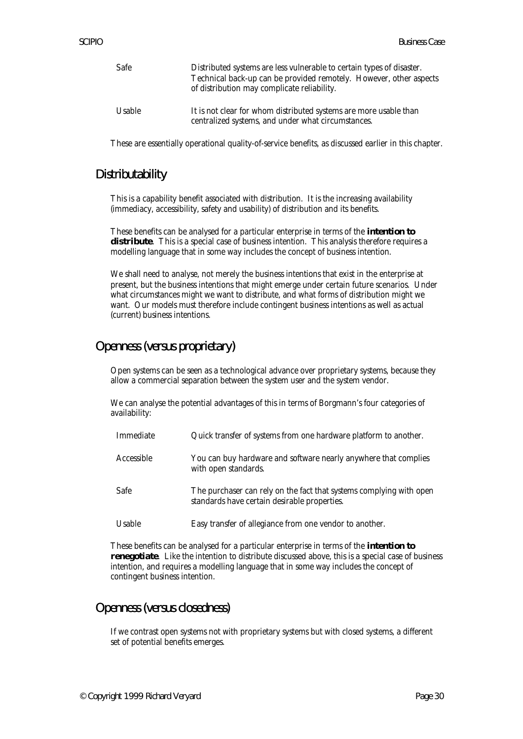| Safe   | Distributed systems are less vulnerable to certain types of disaster.<br>Technical back-up can be provided remotely. However, other aspects<br>of distribution may complicate reliability. |
|--------|--------------------------------------------------------------------------------------------------------------------------------------------------------------------------------------------|
| Usable | It is not clear for whom distributed systems are more usable than<br>centralized systems, and under what circumstances.                                                                    |

These are essentially operational quality-of-service benefits, as discussed earlier in this chapter.

### Distributability

This is a capability benefit associated with distribution. It is the increasing availability (immediacy, accessibility, safety and usability) of distribution and its benefits.

These benefits can be analysed for a particular enterprise in terms of the **intention to** distribute. This is a special case of business intention. This analysis therefore requires a modelling language that in some way includes the concept of business intention.

We shall need to analyse, not merely the business intentions that exist in the enterprise at present, but the business intentions that might emerge under certain future scenarios. Under what circumstances might we want to distribute, and what forms of distribution might we want. Our models must therefore include contingent business intentions as well as actual (current) business intentions.

## Openness (versus proprietary)

Open systems can be seen as a technological advance over proprietary systems, because they allow a commercial separation between the system user and the system vendor.

We can analyse the potential advantages of this in terms of Borgmann's four categories of availability:

| Immediate  | Quick transfer of systems from one hardware platform to another.                                                    |
|------------|---------------------------------------------------------------------------------------------------------------------|
| Accessible | You can buy hardware and software nearly anywhere that complies<br>with open standards.                             |
| Safe       | The purchaser can rely on the fact that systems complying with open<br>standards have certain desirable properties. |
| Usable     | Easy transfer of allegiance from one vendor to another.                                                             |

These benefits can be analysed for a particular enterprise in terms of the **intention to renegotiate**. Like the intention to distribute discussed above, this is a special case of business intention, and requires a modelling language that in some way includes the concept of contingent business intention.

## Openness (versus closedness)

If we contrast open systems not with proprietary systems but with closed systems, a different set of potential benefits emerges.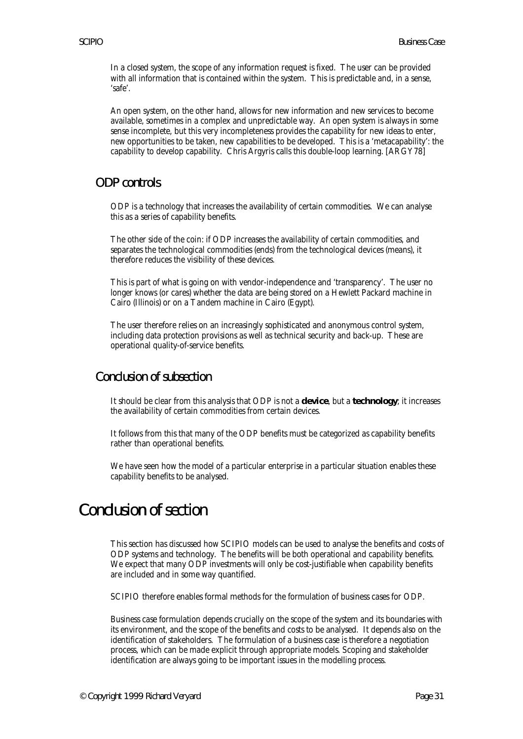In a closed system, the scope of any information request is fixed. The user can be provided with all information that is contained within the system. This is predictable and, in a sense, 'safe'.

An open system, on the other hand, allows for new information and new services to become available, sometimes in a complex and unpredictable way. An open system is always in some sense incomplete, but this very incompleteness provides the capability for new ideas to enter, new opportunities to be taken, new capabilities to be developed. This is a 'metacapability': the capability to develop capability. Chris Argyris calls this double-loop learning. [ARGY78]

### ODP controls

ODP is a technology that increases the availability of certain commodities. We can analyse this as a series of capability benefits.

The other side of the coin: if ODP increases the availability of certain commodities, and separates the technological commodities (ends) from the technological devices (means), it therefore reduces the visibility of these devices.

This is part of what is going on with vendor-independence and 'transparency'. The user no longer knows (or cares) whether the data are being stored on a Hewlett Packard machine in Cairo (Illinois) or on a Tandem machine in Cairo (Egypt).

The user therefore relies on an increasingly sophisticated and anonymous control system, including data protection provisions as well as technical security and back-up. These are operational quality-of-service benefits.

## Conclusion of subsection

It should be clear from this analysis that ODP is not a **device**, but a **technology**; it increases the availability of certain commodities from certain devices.

It follows from this that many of the ODP benefits must be categorized as capability benefits rather than operational benefits.

We have seen how the model of a particular enterprise in a particular situation enables these capability benefits to be analysed.

# Conclusion of section

This section has discussed how SCIPIO models can be used to analyse the benefits and costs of ODP systems and technology. The benefits will be both operational and capability benefits. We expect that many ODP investments will only be cost-justifiable when capability benefits are included and in some way quantified.

SCIPIO therefore enables formal methods for the formulation of business cases for ODP.

Business case formulation depends crucially on the scope of the system and its boundaries with its environment, and the scope of the benefits and costs to be analysed. It depends also on the identification of stakeholders. The formulation of a business case is therefore a negotiation process, which can be made explicit through appropriate models. Scoping and stakeholder identification are always going to be important issues in the modelling process.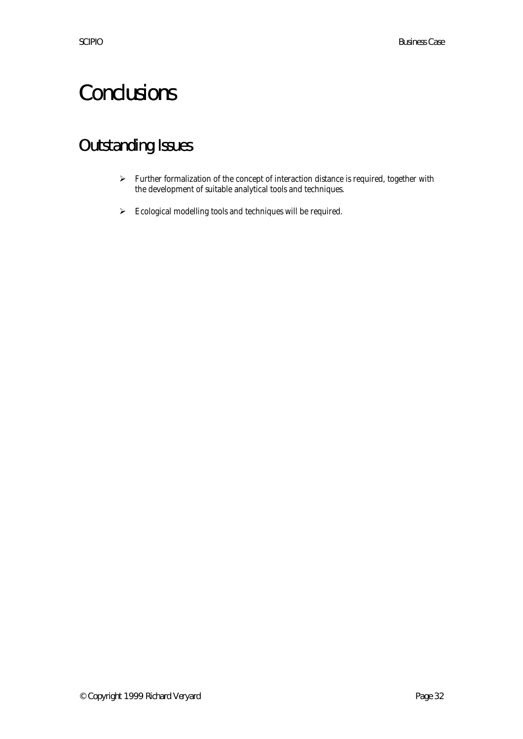# **Conclusions**

# Outstanding Issues

- $\triangleright$  Further formalization of the concept of interaction distance is required, together with the development of suitable analytical tools and techniques.
- $\blacktriangleright$  Ecological modelling tools and techniques will be required.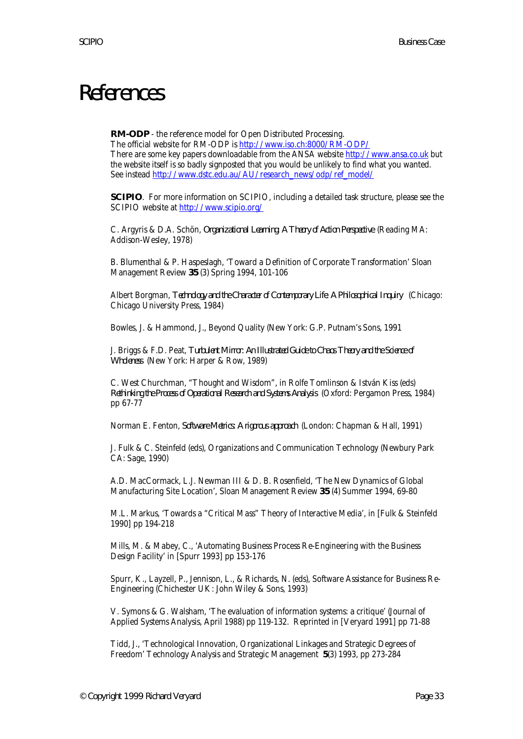# References

**RM-ODP** - the reference model for Open Distributed Processing.

The official website for RM-ODP is http://www.iso.ch:8000/RM-ODP/ There are some key papers downloadable from the ANSA website http://www.ansa.co.uk but the website itself is so badly signposted that you would be unlikely to find what you wanted. See instead http://www.dstc.edu.au/AU/research\_news/odp/ref\_model/

**SCIPIO**. For more information on SCIPIO, including a detailed task structure, please see the SCIPIO website at http://www.scipio.org/

C. Argyris & D.A. Schön, *Organizational Learning: A Theory of Action Perspective* (Reading MA: Addison-Wesley, 1978)

B. Blumenthal & P. Haspeslagh, 'Toward a Definition of Corporate Transformation' Sloan Management Review **35** (3) Spring 1994, 101-106

Albert Borgman, *Technology and the Character of Contemporary Life: A Philosophical Inquiry* (Chicago: Chicago University Press, 1984)

Bowles, J. & Hammond, J., Beyond Quality (New York: G.P. Putnam's Sons, 1991

J. Briggs & F.D. Peat, *Turbulent Mirror: An Illustrated Guide to Chaos Theory and the Science of Wholeness* (New York: Harper & Row, 1989)

C. West Churchman, "Thought and Wisdom", in Rolfe Tomlinson & István Kiss (eds) *Rethinking the Process of Operational Research and Systems Analysis* (Oxford: Pergamon Press, 1984) pp 67-77

Norman E. Fenton, *Software Metrics: A rigorous approach* (London: Chapman & Hall, 1991)

J. Fulk & C. Steinfeld (eds), Organizations and Communication Technology (Newbury Park CA: Sage, 1990)

A.D. MacCormack, L.J. Newman III & D. B. Rosenfield, 'The New Dynamics of Global Manufacturing Site Location', Sloan Management Review **35** (4) Summer 1994, 69-80

M.L. Markus, 'Towards a "Critical Mass" Theory of Interactive Media', in [Fulk & Steinfeld 1990] pp 194-218

Mills, M. & Mabey, C., 'Automating Business Process Re-Engineering with the Business Design Facility' in [Spurr 1993] pp 153-176

Spurr, K., Layzell, P., Jennison, L., & Richards, N. (eds), Software Assistance for Business Re-Engineering (Chichester UK: John Wiley & Sons, 1993)

V. Symons & G. Walsham, 'The evaluation of information systems: a critique' (Journal of Applied Systems Analysis, April 1988) pp 119-132. Reprinted in [Veryard 1991] pp 71-88

Tidd, J., 'Technological Innovation, Organizational Linkages and Strategic Degrees of Freedom' Technology Analysis and Strategic Management **5**(3) 1993, pp 273-284